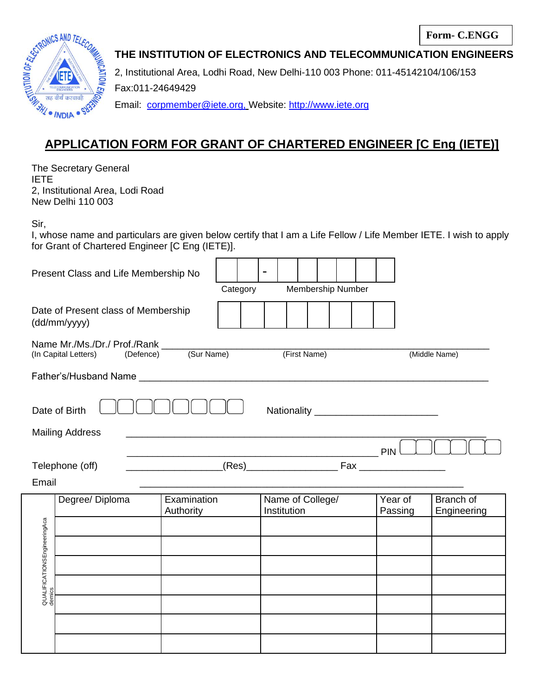

**THE INSTITUTION OF ELECTRONICS AND TELECOMMUNICATION ENGINEERS**

2, Institutional Area, Lodhi Road, New Delhi-110 003 Phone: 011-45142104/106/153 Fax:011-24649429 Email: [corpmember@iete.org,](mailto:%20corpmember@iete.org,) Website: http://www.iete.org

## **APPLICATION FORM FOR GRANT OF CHARTERED ENGINEER [C Eng (IETE)]**

The Secretary General IETE 2, Institutional Area, Lodi Road New Delhi 110 003

Sir,

I, whose name and particulars are given below certify that I am a Life Fellow / Life Member IETE. I wish to apply for Grant of Chartered Engineer [C Eng (IETE)].

| Present Class and Life Membership No                |                 |                          | Category |                               |  |                                 | Membership Number |  |  |                    |                                 |  |
|-----------------------------------------------------|-----------------|--------------------------|----------|-------------------------------|--|---------------------------------|-------------------|--|--|--------------------|---------------------------------|--|
| Date of Present class of Membership<br>(dd/mm/yyyy) |                 |                          |          |                               |  |                                 |                   |  |  |                    |                                 |  |
| (Sur Name)<br>(Defence)<br>(In Capital Letters)     |                 |                          |          | (First Name)<br>(Middle Name) |  |                                 |                   |  |  |                    |                                 |  |
|                                                     |                 |                          |          |                               |  |                                 |                   |  |  |                    |                                 |  |
|                                                     | Date of Birth   |                          |          |                               |  |                                 |                   |  |  |                    |                                 |  |
| <b>Mailing Address</b>                              |                 |                          |          |                               |  |                                 |                   |  |  |                    |                                 |  |
| Telephone (off)                                     |                 |                          |          |                               |  |                                 |                   |  |  |                    |                                 |  |
| Email                                               |                 |                          |          |                               |  |                                 |                   |  |  |                    |                                 |  |
|                                                     | Degree/ Diploma | Examination<br>Authority |          |                               |  | Name of College/<br>Institution |                   |  |  | Year of<br>Passing | <b>Branch of</b><br>Engineering |  |
|                                                     |                 |                          |          |                               |  |                                 |                   |  |  |                    |                                 |  |
|                                                     |                 |                          |          |                               |  |                                 |                   |  |  |                    |                                 |  |
| QUALIFICATIONSEngineeringAca<br>demics              |                 |                          |          |                               |  |                                 |                   |  |  |                    |                                 |  |
|                                                     |                 |                          |          |                               |  |                                 |                   |  |  |                    |                                 |  |
|                                                     |                 |                          |          |                               |  |                                 |                   |  |  |                    |                                 |  |
|                                                     |                 |                          |          |                               |  |                                 |                   |  |  |                    |                                 |  |
|                                                     |                 |                          |          |                               |  |                                 |                   |  |  |                    |                                 |  |